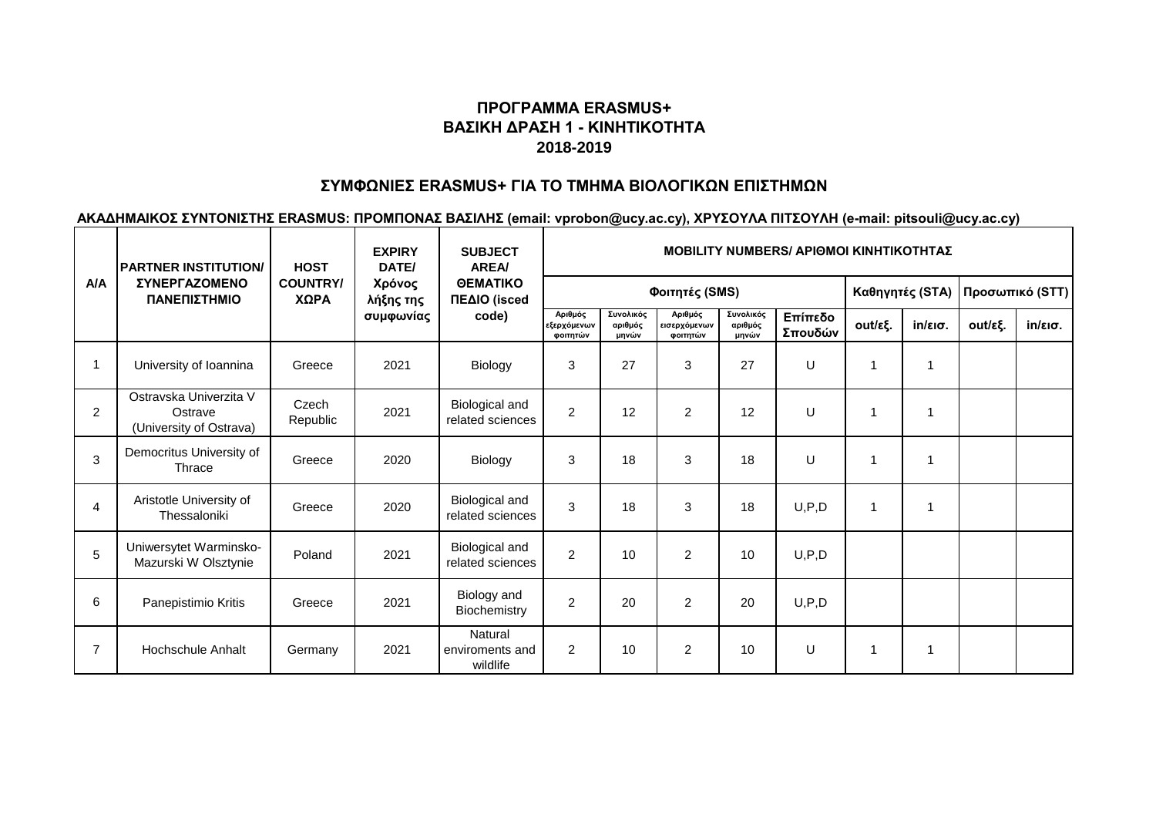# **ΠΡΟΓΡΑΜΜΑ ERASMUS+ ΒΑΣΙΚΗ ΔΡΑΣΗ 1 - ΚΙΝΗΤΙΚΟΤΗΤΑ 2018-2019**

### **ΣΥΜΦΩΝΙΕΣ ERASMUS+ ΓΙΑ ΤΟ ΤΜΗΜΑ ΒΙΟΛΟΓΙΚΩΝ ΕΠΙΣΤΗΜΩΝ**

**ΑΚΑΔΗΜΑΙΚΟΣ ΣΥΝΤΟΝΙΣΤΗΣ ERASMUS: ΠΡΟΜΠΟΝΑΣ ΒΑΣΙΛΗΣ (email: vprobon@ucy.ac.cy), ΧΡΥΣΟΥΛΑ ΠΙΤΣΟΥΛΗ (e-mail: pitsouli@ucy.ac.cy)**

|                | <b>PARTNER INSTITUTION/</b><br>ΣΥΝΕΡΓΑΖΟΜΕΝΟ<br>ΠΑΝΕΠΙΣΤΗΜΙΟ | <b>HOST</b><br><b>COUNTRY/</b><br>ΧΩΡΑ | <b>EXPIRY</b><br>DATE/<br>Χρόνος<br>λήξης της<br>συμφωνίας | <b>SUBJECT</b><br><b>AREA</b><br><b>OEMATIKO</b><br>ΠΕΔΙΟ (isced<br>code) | MOBILITY NUMBERS/ ΑΡΙΘΜΟΙ ΚΙΝΗΤΙΚΟΤΗΤΑΣ |                               |                                     |                               |                    |                 |                   |         |                   |  |
|----------------|--------------------------------------------------------------|----------------------------------------|------------------------------------------------------------|---------------------------------------------------------------------------|-----------------------------------------|-------------------------------|-------------------------------------|-------------------------------|--------------------|-----------------|-------------------|---------|-------------------|--|
| A/A            |                                                              |                                        |                                                            |                                                                           |                                         |                               | Φοιτητές (SMS)                      | Καθηγητές (STA)               |                    | Προσωπικό (STT) |                   |         |                   |  |
|                |                                                              |                                        |                                                            |                                                                           | Αριθμός<br>εξερχόμενων<br>φοιτητών      | Συνολικός<br>αριθμός<br>μηνών | Αριθμός<br>εισερχόμενων<br>φοιτητών | Συνολικός<br>αριθμός<br>μηνών | Επίπεδο<br>Σπουδών | out/εξ.         | $in/\epsilon$ ισ. | out/εξ. | $in/\epsilon$ ισ. |  |
| -1             | University of Ioannina                                       | Greece                                 | 2021                                                       | Biology                                                                   | 3                                       | 27                            | 3                                   | 27                            | U                  |                 |                   |         |                   |  |
| 2              | Ostravska Univerzita V<br>Ostrave<br>(University of Ostrava) | Czech<br>Republic                      | 2021                                                       | Biological and<br>related sciences                                        | $\overline{2}$                          | 12                            | $\overline{2}$                      | 12                            | U                  |                 | 1                 |         |                   |  |
| 3              | Democritus University of<br>Thrace                           | Greece                                 | 2020                                                       | Biology                                                                   | 3                                       | 18                            | 3                                   | 18                            | U                  |                 | 1                 |         |                   |  |
| $\overline{4}$ | Aristotle University of<br>Thessaloniki                      | Greece                                 | 2020                                                       | Biological and<br>related sciences                                        | 3                                       | 18                            | 3                                   | 18                            | U, P, D            | 1               | 1                 |         |                   |  |
| 5              | Uniwersytet Warminsko-<br>Mazurski W Olsztynie               | Poland                                 | 2021                                                       | Biological and<br>related sciences                                        | $\overline{2}$                          | 10                            | 2                                   | 10                            | U, P, D            |                 |                   |         |                   |  |
| 6              | Panepistimio Kritis                                          | Greece                                 | 2021                                                       | Biology and<br>Biochemistry                                               | 2                                       | 20                            | 2                                   | 20                            | U, P, D            |                 |                   |         |                   |  |
| $\overline{7}$ | Hochschule Anhalt                                            | Germany                                | 2021                                                       | Natural<br>enviroments and<br>wildlife                                    | 2                                       | 10                            | $\overline{c}$                      | 10                            | U                  | 1               |                   |         |                   |  |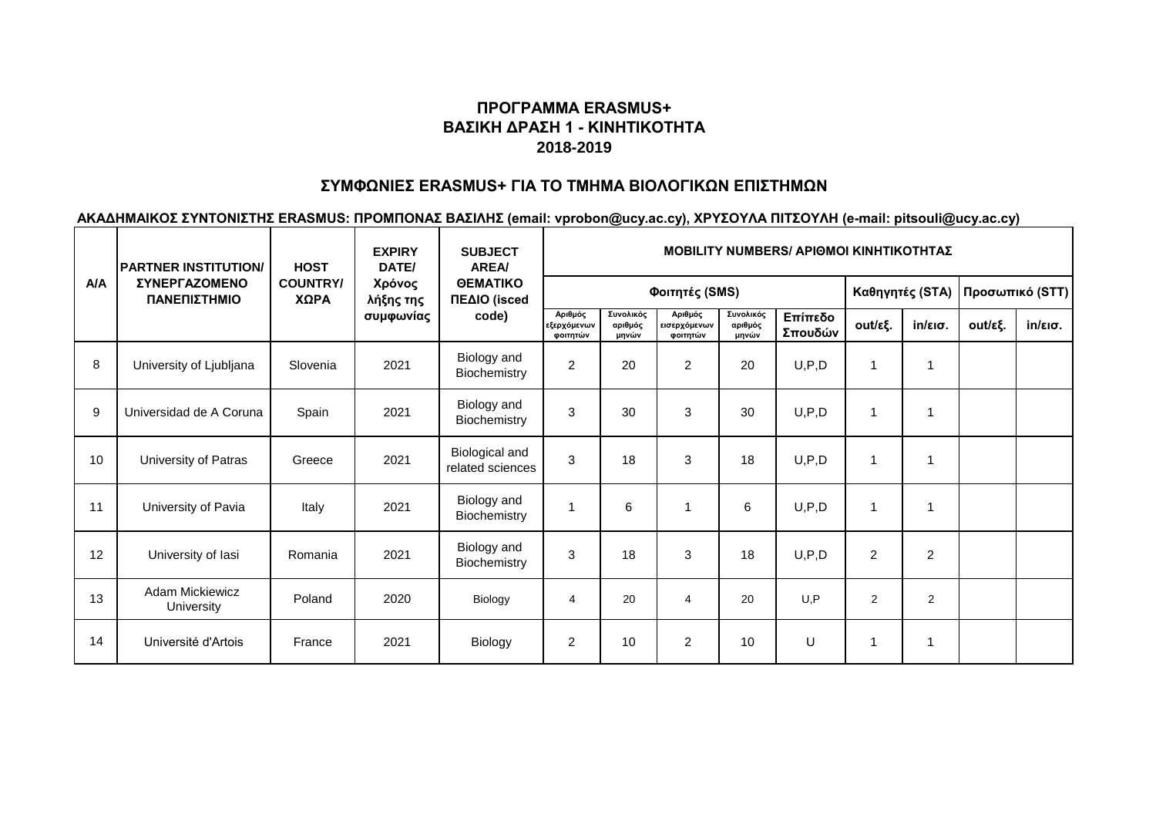# **ΠΡΟΓΡΑΜΜΑ ERASMUS+ ΒΑΣΙΚΗ ΔΡΑΣΗ 1 - ΚΙΝΗΤΙΚΟΤΗΤΑ 2018-2019**

### **ΣΥΜΦΩΝΙΕΣ ERASMUS+ ΓΙΑ ΤΟ ΤΜΗΜΑ ΒΙΟΛΟΓΙΚΩΝ ΕΠΙΣΤΗΜΩΝ**

**ΑΚΑΔΗΜΑΙΚΟΣ ΣΥΝΤΟΝΙΣΤΗΣ ERASMUS: ΠΡΟΜΠΟΝΑΣ ΒΑΣΙΛΗΣ (email: vprobon@ucy.ac.cy), ΧΡΥΣΟΥΛΑ ΠΙΤΣΟΥΛΗ (e-mail: pitsouli@ucy.ac.cy)**

| <b>A/A</b> | <b>PARTNER INSTITUTION/</b><br>ΣΥΝΕΡΓΑΖΟΜΕΝΟ<br>ΠΑΝΕΠΙΣΤΗΜΙΟ | <b>HOST</b><br><b>COUNTRY/</b><br>ΧΩΡΑ | <b>EXPIRY</b><br>DATE/<br>Χρόνος<br>λήξης της | <b>SUBJECT</b><br><b>AREA</b><br><b>OEMATIKO</b><br>ΠΕΔΙΟ (isced<br>code) | <b>MOBILITY NUMBERS/ APIOMOI KINHTIKOTHTAZ</b> |                               |                                     |                               |                    |                 |                   |         |                   |  |
|------------|--------------------------------------------------------------|----------------------------------------|-----------------------------------------------|---------------------------------------------------------------------------|------------------------------------------------|-------------------------------|-------------------------------------|-------------------------------|--------------------|-----------------|-------------------|---------|-------------------|--|
|            |                                                              |                                        |                                               |                                                                           |                                                |                               | Φοιτητές (SMS)                      | Καθηγητές (STA)               |                    | Προσωπικό (STT) |                   |         |                   |  |
|            |                                                              |                                        | συμφωνίας                                     |                                                                           | Αριθμός<br>εξερχόμενων<br>φοιτητών             | Συνολικός<br>αριθμός<br>μηνών | Αριθμός<br>εισερχόμενων<br>φοιτητών | Συνολικός<br>αριθμός<br>μηνών | Επίπεδο<br>Σπουδών | out/εξ.         | $in/\epsilon$ ισ. | out/εξ. | $in/\epsilon$ ισ. |  |
| 8          | University of Ljubljana                                      | Slovenia                               | 2021                                          | Biology and<br>Biochemistry                                               | $\overline{2}$                                 | 20                            | 2                                   | 20                            | U, P, D            |                 | $\mathbf{1}$      |         |                   |  |
| 9          | Universidad de A Coruna                                      | Spain                                  | 2021                                          | Biology and<br>Biochemistry                                               | $\mathbf{3}$                                   | 30                            | 3                                   | 30                            | U, P, D            |                 | $\mathbf{1}$      |         |                   |  |
| 10         | University of Patras                                         | Greece                                 | 2021                                          | Biological and<br>related sciences                                        | 3                                              | 18                            | 3                                   | 18                            | U, P, D            |                 | $\mathbf{1}$      |         |                   |  |
| 11         | University of Pavia                                          | Italy                                  | 2021                                          | Biology and<br>Biochemistry                                               | $\overline{1}$                                 | 6                             |                                     | 6                             | U, P, D            |                 | $\mathbf{1}$      |         |                   |  |
| 12         | University of lasi                                           | Romania                                | 2021                                          | Biology and<br>Biochemistry                                               | 3                                              | 18                            | 3                                   | 18                            | U, P, D            | 2               | $\overline{2}$    |         |                   |  |
| 13         | Adam Mickiewicz<br>University                                | Poland                                 | 2020                                          | Biology                                                                   | 4                                              | 20                            | 4                                   | 20                            | U.P                | 2               | 2                 |         |                   |  |
| 14         | Université d'Artois                                          | France                                 | 2021                                          | Biology                                                                   | 2                                              | 10                            | $\overline{2}$                      | 10                            | U                  |                 | $\mathbf{1}$      |         |                   |  |